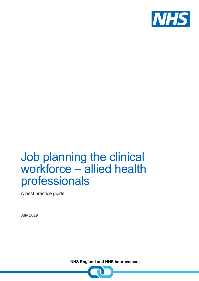

## Job planning the clinical workforce – allied health professionals

A best practice guide

July 2019

**NHS England and NHS Improvement**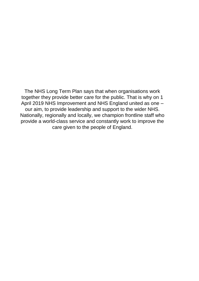The NHS Long Term Plan says that when organisations work together they provide better care for the public. That is why on 1 April 2019 NHS Improvement and NHS England united as one – our aim, to provide leadership and support to the wider NHS. Nationally, regionally and locally, we champion frontline staff who provide a world-class service and constantly work to improve the care given to the people of England.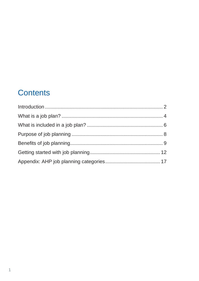### **Contents**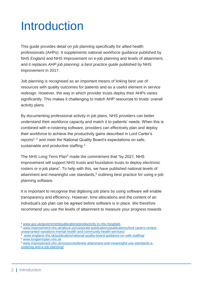# <span id="page-3-0"></span>Introduction

This guide provides detail on job planning specifically for allied health professionals (AHPs). It supplements national workforce guidance published by NHS England and NHS Improvement on e-job planning and levels of attainment, and it replaces *AHP job planning: a best practice guide* published by NHS Improvement in 2017.

Job planning is recognised as an important means of linking best use of resources with quality outcomes for patients and as a useful element in service redesign. However, the way in which provider trusts deploy their AHPs varies significantly. This makes it challenging to match AHP resources to trusts' overall activity plans.

By documenting professional activity in job plans, NHS providers can better understand their workforce capacity and match it to patients' needs. When this is combined with e-rostering software, providers can effectively plan and deploy their workforce to achieve the productivity gains described in Lord Carter's reports<sup>1, 2</sup> and meet the National Quality Board's expectations on safe, sustainable and productive staffing. $3$ 

The [NHS Long Term Plan](https://www.longtermplan.nhs.uk/publication/nhs-long-term-plan/)<sup>4</sup> made the commitment that "by 2021, NHS Improvement will support NHS trusts and foundation trusts to deploy electronic rosters or e-job plans". To help with this, we have published national levels of attainment and meaningful use standards,<sup>5</sup> outlining best practice for using e-job planning software.

It is important to recognise that digitising job plans by using software will enable transparency and efficiency. However, time allocations and the content of an individual's job plan can be agreed before software is in place. We therefore recommend you use the levels of attainment to measure your progress towards

<sup>3</sup> www.england.nhs.uk/publication/national-quality-board-guidance-on-safe-staffing/

<sup>1</sup> [www.gov.uk/government/publications/productivity-in-nhs-hospitals](https://www.gov.uk/government/publications/productivity-in-nhs-hospitals)

<sup>2</sup> [www.improvement.nhs.uk/about-us/corporate-publications/publications/lord-carters-review](https://improvement.nhs.uk/about-us/corporate-publications/publications/lord-carters-review-unwarranted-variations-mental-health-and-community-health-services/)[unwarranted-variations-mental-health-and-community-health-services/](https://improvement.nhs.uk/about-us/corporate-publications/publications/lord-carters-review-unwarranted-variations-mental-health-and-community-health-services/)

<sup>4</sup> [www.longtermplan.nhs.uk](http://www.longtermplan.nhs.uk/)

<sup>5</sup> [www.improvement.nhs.uk/resources/levels-attainment-and-meaningful-use-standards-e](file://///irnhsft.local/monitor/Redirected/paul.hepden/Desktop/www.improvement.nhs.uk/resources/levels-attainment-and-meaningful-use-standards-e-rostering-and-e-job-planning/)[rostering-and-e-job-planning/](file://///irnhsft.local/monitor/Redirected/paul.hepden/Desktop/www.improvement.nhs.uk/resources/levels-attainment-and-meaningful-use-standards-e-rostering-and-e-job-planning/)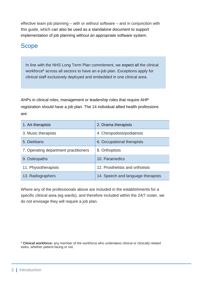effective team job planning – with or without software – and in conjunction with this guide, which can also be used as a standalone document to support implementation of job planning without an appropriate software system.

### Scope

In line with the NHS Long Term Plan commitment, we expect all the clinical workforce<sup>6</sup> across all sectors to have an e-job plan. Exceptions apply for clinical staff exclusively deployed and embedded in one clinical area.

AHPs in clinical roles, management or leadership roles that require AHP registration should have a job plan. The 14 individual allied health professions are:

| 1. Art therapists                     | 2. Drama therapists                |
|---------------------------------------|------------------------------------|
| 3. Music therapists                   | 4. Chiropodists/podiatrists        |
| 5. Dietitians                         | 6. Occupational therapists         |
| 7. Operating department practitioners | 8. Orthoptists                     |
| 9. Osteopaths                         | 10. Paramedics                     |
| 11. Physiotherapists                  | 12. Prosthetists and orthotists    |
| 13. Radiographers                     | 14. Speech and language therapists |

Where any of the professionals above are included in the establishments for a specific clinical area (eg wards), and therefore included within the 24/7 roster, we do not envisage they will require a job plan.

<sup>6</sup> **Clinical workforce:** any member of the workforce who undertakes clinical or clinically related tasks, whether patient-facing or not.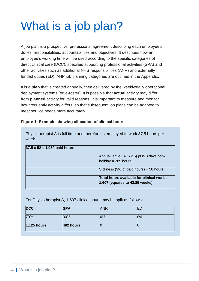# <span id="page-5-0"></span>What is a job plan?

A job plan is a prospective, professional agreement describing each employee's duties, responsibilities, accountabilities and objectives. It describes how an employee's working time will be used according to the specific categories of direct clinical care (DCC), specified supporting professional activities (SPA) and other activities such as additional NHS responsibilities (ANR) and externally funded duties (ED). AHP job planning categories are outlined in the Appendix.

It is a **plan** that is created annually, then delivered by the weekly/daily operational deployment systems (eg e-roster). It is possible that **actual** activity may differ from **planned** activity for valid reasons. It is important to measure and monitor how frequently activity differs, so that subsequent job plans can be adapted to meet service needs more accurately.

|  |  | Figure 1: Example showing allocation of clinical hours |  |  |
|--|--|--------------------------------------------------------|--|--|
|  |  |                                                        |  |  |

Physiotherapist A is full time and therefore is employed to work 37.5 hours per week

| $37.5 \times 52 = 1,950$ paid hours |                                                           |
|-------------------------------------|-----------------------------------------------------------|
|                                     | Annual leave (37.5 x 6) plus 8 days bank                  |
|                                     | holiday = $285$ hours                                     |
|                                     | Sickness $(3\% \text{ of paid hours}) = 58 \text{ hours}$ |
|                                     | Total hours available for clinical work =                 |
|                                     | $ 1,607$ (equates to 42.85 weeks)                         |

For Physiotherapist A, 1,607 clinical hours may be split as follows:

| <b>DCC</b>    | <b>SPA</b> | <b>ANR</b> | ⊩  |
|---------------|------------|------------|----|
| 70%           | 30%        | 0%         | 0% |
| $1,125$ hours | 482 hours  | ľU         |    |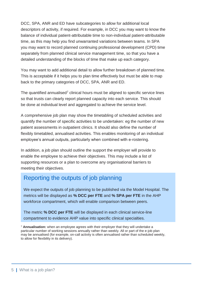DCC, SPA, ANR and ED have subcategories to allow for additional local descriptors of activity, if required. For example, in DCC you may want to know the balance of individual patient-attributable time to non-individual patient-attributable time, as this may help you find unwarranted variations between teams. In SPA you may want to record planned continuing professional development (CPD) time separately from planned clinical service management time, so that you have a detailed understanding of the blocks of time that make up each category.

You may want to add additional detail to allow further breakdown of planned time. This is acceptable if it helps you to plan time effectively but must be able to map back to the primary categories of DCC, SPA, ANR and ED.

The quantified annualised<sup>7</sup> clinical hours must be aligned to specific service lines so that trusts can clearly report planned capacity into each service. This should be done at individual level and aggregated to achieve the service level.

A comprehensive job plan may show the timetabling of scheduled activities and quantify the number of specific activities to be undertaken: eg the number of new patient assessments in outpatient clinics. It should also define the number of flexibly timetabled, annualised activities. This enables monitoring of an individual employee's annual outputs, particularly when combined with e-rostering.

In addition, a job plan should outline the support the employer will provide to enable the employee to achieve their objectives. This may include a list of supporting resources or a plan to overcome any organisational barriers to meeting their objectives.

### Reporting the outputs of job planning

We expect the outputs of job planning to be published via the Model Hospital. The metrics will be displayed as **% DCC per FTE** and **% SPA per FTE** in the AHP workforce compartment, which will enable comparison between peers.

The metric **% DCC per FTE** will be displayed in each clinical service-line compartment to evidence AHP value into specific clinical specialties.

<sup>7</sup> **Annualisation:** when an employee agrees with their employer that they will undertake a particular number of working sessions annually rather than weekly. All or part of the e-job plan may be annualised (for example, on-call activity is often annualised rather than scheduled weekly, to allow for flexibility in its delivery).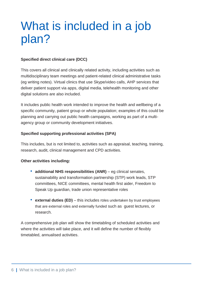## <span id="page-7-0"></span>What is included in a job plan?

#### **Specified direct clinical care (DCC)**

This covers all clinical and clinically related activity, including activities such as multidisciplinary team meetings and patient-related clinical administrative tasks (eg writing notes). Virtual clinics that use Skype/video calls, AHP services that deliver patient support via apps, digital media, telehealth monitoring and other digital solutions are also included.

It includes public health work intended to improve the health and wellbeing of a specific community, patient group or whole population; examples of this could be planning and carrying out public health campaigns, working as part of a multiagency group or community development initiatives.

#### **Specified supporting professional activities (SPA)**

This includes, but is not limited to, activities such as appraisal, teaching, training, research, audit, clinical management and CPD activities.

#### **Other activities including:**

- **additional NHS responsibilities (ANR)** eg clinical senates, sustainability and transformation partnership (STP) work leads, STP committees, NICE committees, mental health first aider, Freedom to Speak Up guardian, trade union representative roles
- **external duties (ED)** this includes roles undertaken by trust employees that are external roles and externally funded such as guest lectures, or research.

A comprehensive job plan will show the timetabling of scheduled activities and where the activities will take place, and it will define the number of flexibly timetabled, annualised activities.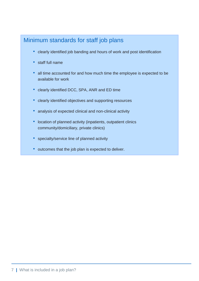### Minimum standards for staff job plans

- clearly identified job banding and hours of work and post identification
- staff full name
- all time accounted for and how much time the employee is expected to be available for work
- clearly identified DCC, SPA, ANR and ED time
- clearly identified objectives and supporting resources
- analysis of expected clinical and non-clinical activity
- location of planned activity (inpatients, outpatient clinics community/domiciliary, private clinics)
- specialty/service line of planned activity
- outcomes that the job plan is expected to deliver.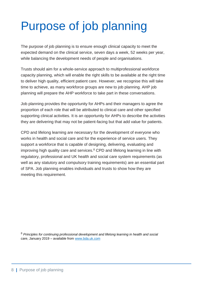# <span id="page-9-0"></span>Purpose of job planning

The purpose of job planning is to ensure enough clinical capacity to meet the expected demand on the clinical service, seven days a week, 52 weeks per year, while balancing the development needs of people and organisations.

Trusts should aim for a whole-service approach to multiprofessional workforce capacity planning, which will enable the right skills to be available at the right time to deliver high quality, efficient patient care. However, we recognise this will take time to achieve, as many workforce groups are new to job planning. AHP job planning will prepare the AHP workforce to take part in these conversations.

Job planning provides the opportunity for AHPs and their managers to agree the proportion of each role that will be attributed to clinical care and other specified supporting clinical activities. It is an opportunity for AHPs to describe the activities they are delivering that may not be patient-facing but that add value for patients.

CPD and lifelong learning are necessary for the development of everyone who works in health and social care and for the experience of service users. They support a workforce that is capable of designing, delivering, evaluating and improving high quality care and services.<sup>8</sup> CPD and lifelong learning in line with regulatory, professional and UK health and social care system requirements (as well as any statutory and compulsory training requirements) are an essential part of SPA. Job planning enables individuals and trusts to show how they are meeting this requirement.

<sup>8</sup> *Principles for continuing professional development and lifelong learning in health and social care*, January 2019 – available from [www.bda.uk.com](http://www.bda.uk.com/)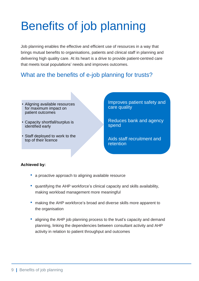# <span id="page-10-0"></span>Benefits of job planning

Job planning enables the effective and efficient use of resources in a way that brings mutual benefits to organisations, patients and clinical staff in planning and delivering high quality care. At its heart is a drive to provide patient-centred care that meets local populations' needs and improves outcomes.

### What are the benefits of e-job planning for trusts?

- Aligning available resources for maximum impact on patient outcomes
- Capacity shortfall/surplus is identified early
- Staff deployed to work to the top of their licence

Improves patient safety and care quality

Reduces bank and agency spend

Aids staff recruitment and retention

#### **Achieved by:**

- a proactive approach to aligning available resource
- quantifying the AHP workforce's clinical capacity and skills availability, making workload management more meaningful
- making the AHP workforce's broad and diverse skills more apparent to the organisation
- aligning the AHP job planning process to the trust's capacity and demand planning, linking the dependencies between consultant activity and AHP activity in relation to patient throughput and outcomes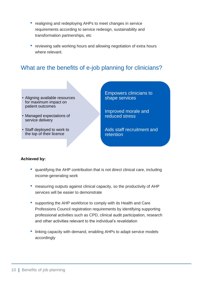- realigning and redeploying AHPs to meet changes in service requirements according to service redesign, sustainability and transformation partnerships, etc
- reviewing safe working hours and allowing negotiation of extra hours where relevant.

### What are the benefits of e-job planning for clinicians?

- Aligning available resources for maximum impact on patient outcomes
- Managed expectations of service delivery
- Staff deployed to work to the top of their licence

Empowers clinicians to shape services

Improved morale and reduced stress

Aids staff recruitment and retention

#### **Achieved by:**

- quantifying the AHP contribution that is not direct clinical care, including income-generating work
- measuring outputs against clinical capacity, so the productivity of AHP services will be easier to demonstrate
- supporting the AHP workforce to comply with its Health and Care Professions Council registration requirements by identifying supporting professional activities such as CPD, clinical audit participation, research and other activities relevant to the individual's revalidation
- linking capacity with demand, enabling AHPs to adapt service models accordingly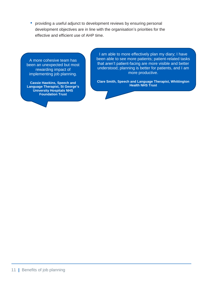• providing a useful adjunct to development reviews by ensuring personal development objectives are in line with the organisation's priorities for the effective and efficient use of AHP time.

A more cohesive team has been an unexpected but most rewarding impact of implementing job planning.

**Cassie Hawkins, Speech and Language Therapist, St George's University Hospitals NHS Foundation Trust**

I am able to more effectively plan my diary; I have been able to see more patients; patient-related tasks that aren't patient-facing are more visible and better understood; planning is better for patients, and I am more productive.

**Clare Smith, Speech and Language Therapist, Whittington Health NHS Trust**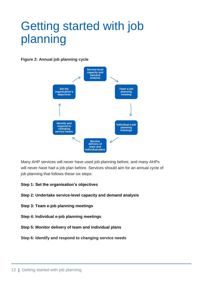# <span id="page-13-0"></span>Getting started with job planning

**Figure 2: Annual job planning cycle**



Many AHP services will never have used job planning before, and many AHPs will never have had a job plan before. Services should aim for an annual cycle of job planning that follows these six steps:

#### **Step 1: Set the organisation's objectives**

- **Step 2: Undertake service-level capacity and demand analysis**
- **Step 3: Team e-job planning meetings**
- **Step 4: Individual e-job planning meetings**
- **Step 5: Monitor delivery of team and individual plans**
- **Step 6: Identify and respond to changing service needs**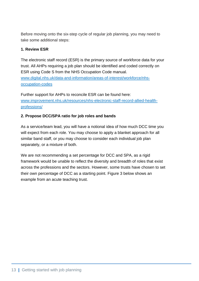Before moving onto the six-step cycle of regular job planning, you may need to take some additional steps:

#### **1. Review ESR**

The electronic staff record (ESR) is the primary source of workforce data for your trust. All AHPs requiring a job plan should be identified and coded correctly on ESR using Code S from the NHS Occupation Code manual. [www.digital.nhs.uk/data-and-information/areas-of-interest/workforce/nhs](https://digital.nhs.uk/data-and-information/areas-of-interest/workforce/nhs-occupation-codes)[occupation-codes](https://digital.nhs.uk/data-and-information/areas-of-interest/workforce/nhs-occupation-codes)

Further support for AHPs to reconcile ESR can be found here: [www.improvement.nhs.uk/resources/nhs-electronic-staff-record-allied-health](https://improvement.nhs.uk/resources/nhs-electronic-staff-record-allied-health-professions/)[professions/](https://improvement.nhs.uk/resources/nhs-electronic-staff-record-allied-health-professions/)

#### **2. Propose DCC/SPA ratio for job roles and bands**

As a service/team lead, you will have a notional idea of how much DCC time you will expect from each role. You may choose to apply a blanket approach for all similar band staff, or you may choose to consider each individual job plan separately, or a mixture of both.

We are not recommending a set percentage for DCC and SPA, as a rigid framework would be unable to reflect the diversity and breadth of roles that exist across the professions and the sectors. However, some trusts have chosen to set their own percentage of DCC as a starting point. Figure 3 below shows an example from an acute teaching trust.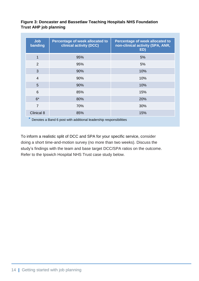#### **Figure 3: Doncaster and Bassetlaw Teaching Hospitals NHS Foundation Trust AHP job planning**

| <b>Job</b><br>banding                                                       | Percentage of week allocated to<br>clinical activity (DCC) | <b>Percentage of week allocated to</b><br>non-clinical activity (SPA, ANR,<br>ED) |  |  |
|-----------------------------------------------------------------------------|------------------------------------------------------------|-----------------------------------------------------------------------------------|--|--|
| 1                                                                           | 95%                                                        | 5%                                                                                |  |  |
| $\overline{2}$                                                              | 95%                                                        | 5%                                                                                |  |  |
| 3                                                                           | 90%                                                        | 10%                                                                               |  |  |
| $\overline{4}$                                                              | 90%                                                        | 10%                                                                               |  |  |
| 5                                                                           | 90%                                                        | 10%                                                                               |  |  |
| 6                                                                           | 85%                                                        | 15%                                                                               |  |  |
| $6*$                                                                        | 80%                                                        | 20%                                                                               |  |  |
| $\overline{7}$                                                              | 70%                                                        | 30%                                                                               |  |  |
| Clinical 8                                                                  | 85%                                                        | 15%                                                                               |  |  |
| $\ast$<br>Denotes a Band 6 post with additional leadership responsibilities |                                                            |                                                                                   |  |  |

To inform a realistic split of DCC and SPA for your specific service, consider doing a short time-and-motion survey (no more than two weeks). Discuss the study's findings with the team and base target DCC/SPA ratios on the outcome. Refer to the Ipswich Hospital NHS Trust case study below.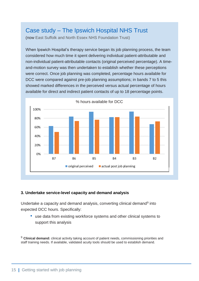### Case study – The Ipswich Hospital NHS Trust

(now East Suffolk and North Essex NHS Foundation Trust)

When Ipswich Hospital's therapy service began its job planning process, the team considered how much time it spent delivering individual patient-attributable and non-individual patient-attributable contacts (original perceived percentage). A timeand-motion survey was then undertaken to establish whether these perceptions were correct. Once job planning was completed, percentage hours available for DCC were compared against pre-job planning assumptions; in bands 7 to 5 this showed marked differences in the perceived versus actual percentage of hours available for direct and indirect patient contacts of up to 18 percentage points.



#### **3. Undertake service-level capacity and demand analysis**

Undertake a capacity and demand analysis, converting clinical demand<sup>9</sup> into expected DCC hours. Specifically:

• use data from existing workforce systems and other clinical systems to support this analysis

<sup>9</sup> Clinical demand: clinical activity taking account of patient needs, commissioning priorities and staff training needs. If available, validated acuity tools should be used to establish demand.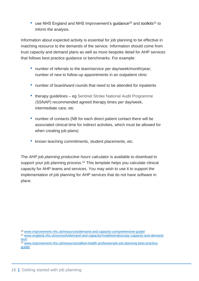• use NHS England and NHS Improvement's quidance<sup>10</sup> and toolkits<sup>11</sup> to inform the analysis.

Information about expected activity is essential for job planning to be effective in matching resource to the demands of the service. Information should come from trust capacity and demand plans as well as more bespoke detail for AHP services that follows best practice guidance or benchmarks. For example:

- number of referrals to the team/service per day/week/month/year; number of new to follow-up appointments in an outpatient clinic
- number of board/ward rounds that need to be attended for inpatients
- therapy guidelines eg Sentinel Stroke National Audit Programme (SSNAP) recommended agreed therapy times per day/week, intermediate care, etc
- number of contacts (NB for each direct patient contact there will be associated clinical time for indirect activities, which must be allowed for when creating job plans)
- known teaching commitments, student placements, etc.

The *AHP job planning productive hours calculator* is available to download to support your job planning process.<sup>12</sup> This template helps you calculate clinical capacity for AHP teams and services. You may wish to use it to support the implementation of job planning for AHP services that do not have software in place.

- <sup>11</sup> [www.england.nhs.uk/ourwork/demand-and-capacity/models/endoscopy-capacity-and-demand](http://www.england.nhs.uk/ourwork/demand-and-capacity/models/endoscopy-capacity-and-demand-tool/)[tool/](http://www.england.nhs.uk/ourwork/demand-and-capacity/models/endoscopy-capacity-and-demand-tool/)
- $\frac{12}{12}$  [www.improvement.nhs.uk/resources/allied-health-professionals-job-planning-best-practice](http://www.improvement.nhs.uk/resources/allied-health-professionals-job-planning-best-practice-guide/)[guide/](http://www.improvement.nhs.uk/resources/allied-health-professionals-job-planning-best-practice-guide/)

<sup>10</sup> [www.improvement.nhs.uk/resources/demand-and-capacity-comprehensive-guide/](http://www.improvement.nhs.uk/resources/demand-and-capacity-comprehensive-guide/)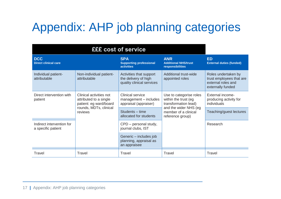# Appendix: AHP job planning categories

<span id="page-18-0"></span>

| <b>DCC</b><br><b>Direct clinical care</b>       |                                                                                                                  | <b>SPA</b><br><b>Supporting professional</b><br><b>activities</b>            | <b>ANR</b><br><b>Additional NHS/trust</b><br>responsibilities           | <b>ED</b><br><b>External duties (funded)</b>                                               |
|-------------------------------------------------|------------------------------------------------------------------------------------------------------------------|------------------------------------------------------------------------------|-------------------------------------------------------------------------|--------------------------------------------------------------------------------------------|
| Individual patient-<br>attributable             | Non-individual patient-<br>attributable                                                                          | Activities that support<br>the delivery of high<br>quality clinical services | Additional trust-wide<br>appointed roles                                | Roles undertaken by<br>trust employees that are<br>external roles and<br>externally funded |
| Direct intervention with<br>patient             | Clinical activities not<br>attributed to a single<br>patient: eg ward/board<br>rounds, MDTs, clinical<br>reviews | Clinical service<br>management - includes<br>appraisal (appraiser)           | Use to categorise roles<br>within the trust (eg<br>transformation lead) | <b>External income-</b><br>producing activity for<br>individuals                           |
|                                                 |                                                                                                                  | Students - time<br>allocated for students                                    | and the wider NHS (eg<br>member of a clinical<br>reference group)       | Teaching/guest lectures                                                                    |
| Indirect intervention for<br>a specific patient |                                                                                                                  | CPD - personal study,<br>journal clubs, IST                                  |                                                                         | Research                                                                                   |
|                                                 |                                                                                                                  | Generic – includes job<br>planning, appraisal as<br>an appraisee             |                                                                         |                                                                                            |
| Travel                                          | Travel                                                                                                           | Travel                                                                       | Travel                                                                  | Travel                                                                                     |